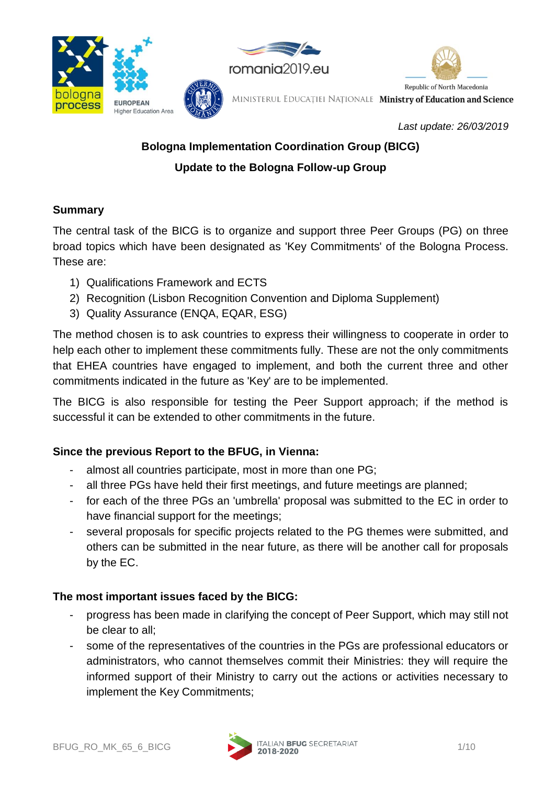

*Last update: 26/03/2019*

# **Bologna Implementation Coordination Group (BICG) Update to the Bologna Follow-up Group**

# **Summary**

The central task of the BICG is to organize and support three Peer Groups (PG) on three broad topics which have been designated as 'Key Commitments' of the Bologna Process. These are:

- 1) Qualifications Framework and ECTS
- 2) Recognition (Lisbon Recognition Convention and Diploma Supplement)
- 3) Quality Assurance (ENQA, EQAR, ESG)

The method chosen is to ask countries to express their willingness to cooperate in order to help each other to implement these commitments fully. These are not the only commitments that EHEA countries have engaged to implement, and both the current three and other commitments indicated in the future as 'Key' are to be implemented.

The BICG is also responsible for testing the Peer Support approach; if the method is successful it can be extended to other commitments in the future.

# **Since the previous Report to the BFUG, in Vienna:**

- almost all countries participate, most in more than one PG;
- all three PGs have held their first meetings, and future meetings are planned;
- for each of the three PGs an 'umbrella' proposal was submitted to the EC in order to have financial support for the meetings;
- several proposals for specific projects related to the PG themes were submitted, and others can be submitted in the near future, as there will be another call for proposals by the EC.

# **The most important issues faced by the BICG:**

- progress has been made in clarifying the concept of Peer Support, which may still not be clear to all;
- some of the representatives of the countries in the PGs are professional educators or administrators, who cannot themselves commit their Ministries: they will require the informed support of their Ministry to carry out the actions or activities necessary to implement the Key Commitments;

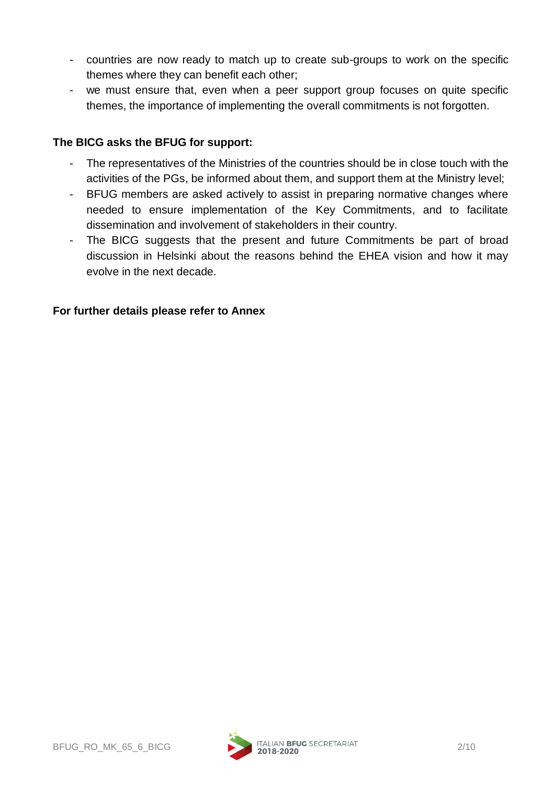- countries are now ready to match up to create sub-groups to work on the specific themes where they can benefit each other;
- we must ensure that, even when a peer support group focuses on quite specific themes, the importance of implementing the overall commitments is not forgotten.

# **The BICG asks the BFUG for support:**

- The representatives of the Ministries of the countries should be in close touch with the activities of the PGs, be informed about them, and support them at the Ministry level;
- BFUG members are asked actively to assist in preparing normative changes where needed to ensure implementation of the Key Commitments, and to facilitate dissemination and involvement of stakeholders in their country.
- The BICG suggests that the present and future Commitments be part of broad discussion in Helsinki about the reasons behind the EHEA vision and how it may evolve in the next decade.

# **For further details please refer to Annex**

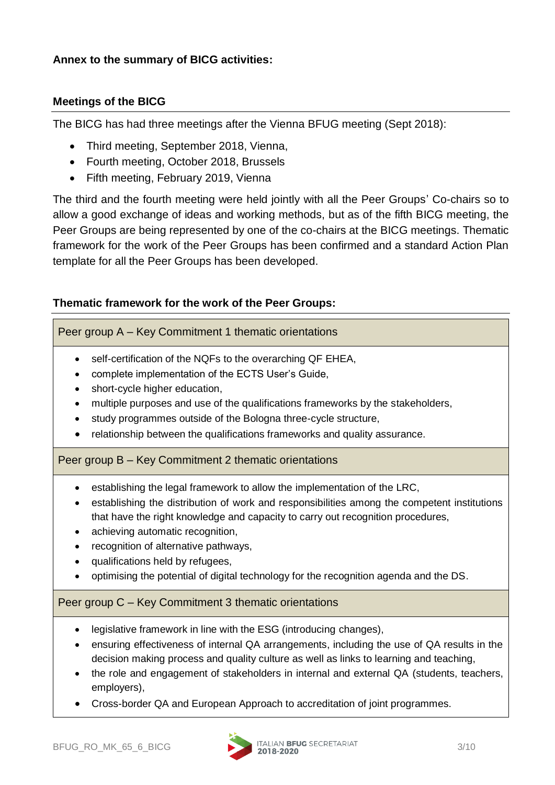#### **Annex to the summary of BICG activities:**

#### **Meetings of the BICG**

The BICG has had three meetings after the Vienna BFUG meeting (Sept 2018):

- Third meeting, September 2018, Vienna,
- Fourth meeting, October 2018, Brussels
- Fifth meeting, February 2019, Vienna

The third and the fourth meeting were held jointly with all the Peer Groups' Co-chairs so to allow a good exchange of ideas and working methods, but as of the fifth BICG meeting, the Peer Groups are being represented by one of the co-chairs at the BICG meetings. Thematic framework for the work of the Peer Groups has been confirmed and a standard Action Plan template for all the Peer Groups has been developed.

#### **Thematic framework for the work of the Peer Groups:**

Peer group A – Key Commitment 1 thematic orientations

- self-certification of the NQFs to the overarching QF EHEA,
- complete implementation of the ECTS User's Guide,
- short-cycle higher education,
- multiple purposes and use of the qualifications frameworks by the stakeholders,
- study programmes outside of the Bologna three-cycle structure,
- relationship between the qualifications frameworks and quality assurance.

Peer group B – Key Commitment 2 thematic orientations

- establishing the legal framework to allow the implementation of the LRC,
- establishing the distribution of work and responsibilities among the competent institutions that have the right knowledge and capacity to carry out recognition procedures,
- achieving automatic recognition.
- recognition of alternative pathways.
- qualifications held by refugees,
- optimising the potential of digital technology for the recognition agenda and the DS.

#### Peer group C – Key Commitment 3 thematic orientations

- legislative framework in line with the ESG (introducing changes),
- ensuring effectiveness of internal QA arrangements, including the use of QA results in the decision making process and quality culture as well as links to learning and teaching,
- the role and engagement of stakeholders in internal and external QA (students, teachers, employers),
- Cross-border QA and European Approach to accreditation of joint programmes.

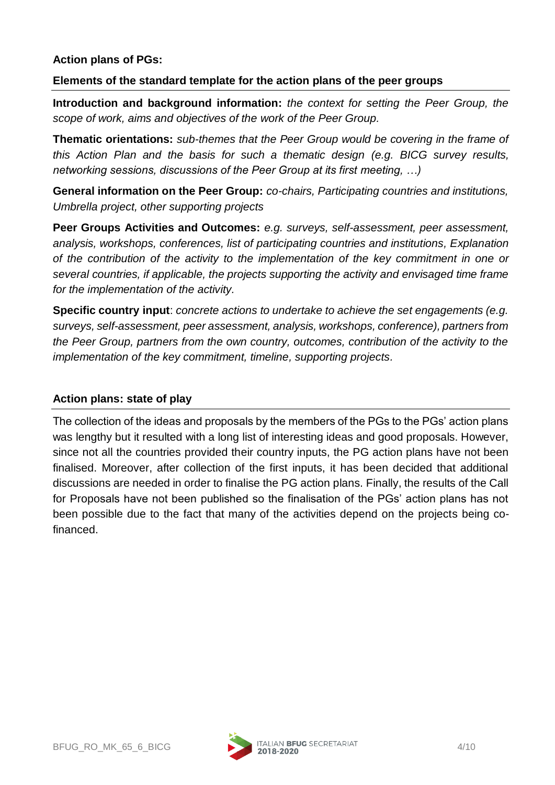#### **Action plans of PGs:**

#### **Elements of the standard template for the action plans of the peer groups**

**Introduction and background information:** *the context for setting the Peer Group, the scope of work, aims and objectives of the work of the Peer Group.*

**Thematic orientations:** *sub-themes that the Peer Group would be covering in the frame of this Action Plan and the basis for such a thematic design (e.g. BICG survey results, networking sessions, discussions of the Peer Group at its first meeting, …)*

**General information on the Peer Group:** *co-chairs, Participating countries and institutions, Umbrella project, other supporting projects*

**Peer Groups Activities and Outcomes:** *e.g. surveys, self-assessment, peer assessment, analysis, workshops, conferences, list of participating countries and institutions, Explanation of the contribution of the activity to the implementation of the key commitment in one or several countries, if applicable, the projects supporting the activity and envisaged time frame for the implementation of the activity.*

**Specific country input**: *concrete actions to undertake to achieve the set engagements (e.g. surveys, self-assessment, peer assessment, analysis, workshops, conference), partners from the Peer Group, partners from the own country, outcomes, contribution of the activity to the implementation of the key commitment, timeline, supporting projects.*

#### **Action plans: state of play**

The collection of the ideas and proposals by the members of the PGs to the PGs' action plans was lengthy but it resulted with a long list of interesting ideas and good proposals. However, since not all the countries provided their country inputs, the PG action plans have not been finalised. Moreover, after collection of the first inputs, it has been decided that additional discussions are needed in order to finalise the PG action plans. Finally, the results of the Call for Proposals have not been published so the finalisation of the PGs' action plans has not been possible due to the fact that many of the activities depend on the projects being cofinanced.



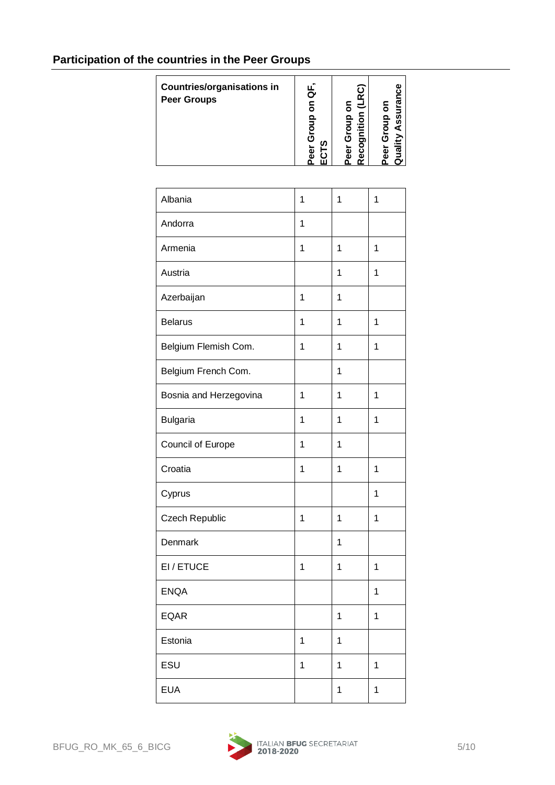# **Participation of the countries in the Peer Groups**

| <b>Countries/organisations in</b><br><b>Peer Groups</b> | Peer Group on QF,<br>ECTS | Peer Group on<br>Recognition (LRC) | Quality Assurance<br>Peer Group on |
|---------------------------------------------------------|---------------------------|------------------------------------|------------------------------------|
|                                                         |                           |                                    |                                    |
| Albania                                                 | 1                         | 1                                  | 1                                  |
| Andorra                                                 | 1                         |                                    |                                    |
| Armenia                                                 | 1                         | 1                                  | 1                                  |
| Austria                                                 |                           | 1                                  | 1                                  |
| Azerbaijan                                              | $\mathbf{1}$              | 1                                  |                                    |
| <b>Belarus</b>                                          | 1                         | 1                                  | 1                                  |
| Belgium Flemish Com.                                    | 1                         | 1                                  | 1                                  |
| Belgium French Com.                                     |                           | 1                                  |                                    |
| Bosnia and Herzegovina                                  | 1                         | 1                                  | 1                                  |
| <b>Bulgaria</b>                                         | 1                         | 1                                  | 1                                  |
| Council of Europe                                       | 1                         | 1                                  |                                    |
| Croatia                                                 | 1                         | 1                                  | 1                                  |
| Cyprus                                                  |                           |                                    | 1                                  |
| Czech Republic                                          | 1                         | 1                                  | 1                                  |
| Denmark                                                 |                           | 1                                  |                                    |
| EI/ETUCE                                                | 1                         | 1                                  | 1                                  |
| <b>ENQA</b>                                             |                           |                                    | 1                                  |
| <b>EQAR</b>                                             |                           | 1                                  | 1                                  |
| Estonia                                                 | 1                         | 1                                  |                                    |
| ESU                                                     | 1                         | 1                                  | $\mathbf{1}$                       |
| <b>EUA</b>                                              |                           | 1                                  | 1                                  |

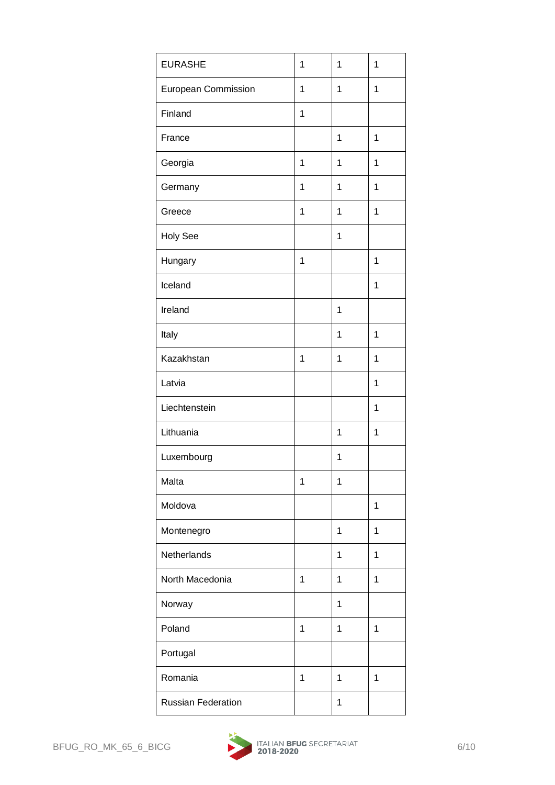| <b>EURASHE</b>            | 1            | 1           | 1 |
|---------------------------|--------------|-------------|---|
| European Commission       | 1            | 1           | 1 |
| Finland                   | 1            |             |   |
| France                    |              | 1           | 1 |
| Georgia                   | $\mathbf{1}$ | 1           | 1 |
| Germany                   | 1            | 1           | 1 |
| Greece                    | 1            | 1           | 1 |
| <b>Holy See</b>           |              | 1           |   |
| Hungary                   | 1            |             | 1 |
| Iceland                   |              |             | 1 |
| Ireland                   |              | 1           |   |
| Italy                     |              | $\mathbf 1$ | 1 |
| Kazakhstan                | 1            | 1           | 1 |
| Latvia                    |              |             | 1 |
| Liechtenstein             |              |             | 1 |
| Lithuania                 |              | 1           | 1 |
| Luxembourg                |              | 1           |   |
| Malta                     | 1            | 1           |   |
| Moldova                   |              |             | 1 |
| Montenegro                |              | 1           | 1 |
| Netherlands               |              | 1           | 1 |
| North Macedonia           | 1            | 1           | 1 |
| Norway                    |              | 1           |   |
| Poland                    | 1            | 1           | 1 |
| Portugal                  |              |             |   |
| Romania                   | 1            | 1           | 1 |
| <b>Russian Federation</b> |              | 1           |   |

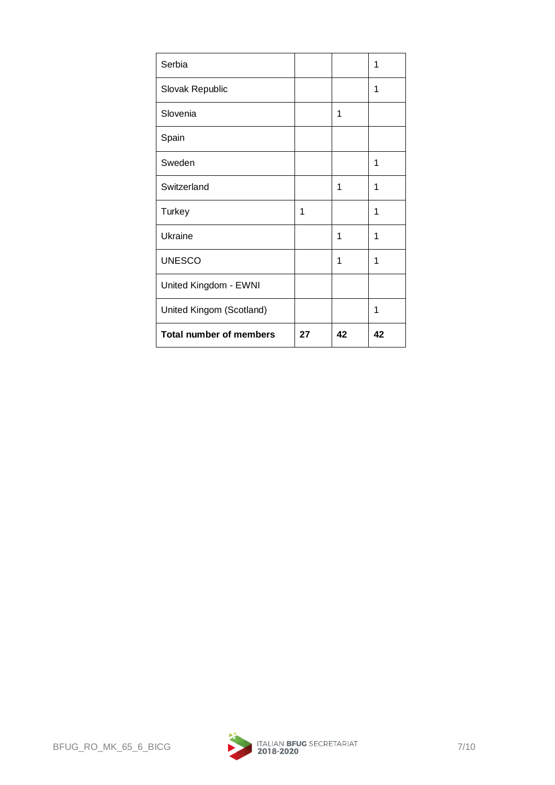| Serbia                         |    |    | 1  |
|--------------------------------|----|----|----|
| Slovak Republic                |    |    | 1  |
| Slovenia                       |    | 1  |    |
| Spain                          |    |    |    |
| Sweden                         |    |    | 1  |
| Switzerland                    |    | 1  | 1  |
| <b>Turkey</b>                  | 1  |    | 1  |
| Ukraine                        |    | 1  | 1  |
| <b>UNESCO</b>                  |    | 1  | 1  |
| United Kingdom - EWNI          |    |    |    |
| United Kingom (Scotland)       |    |    | 1  |
| <b>Total number of members</b> | 27 | 42 | 42 |

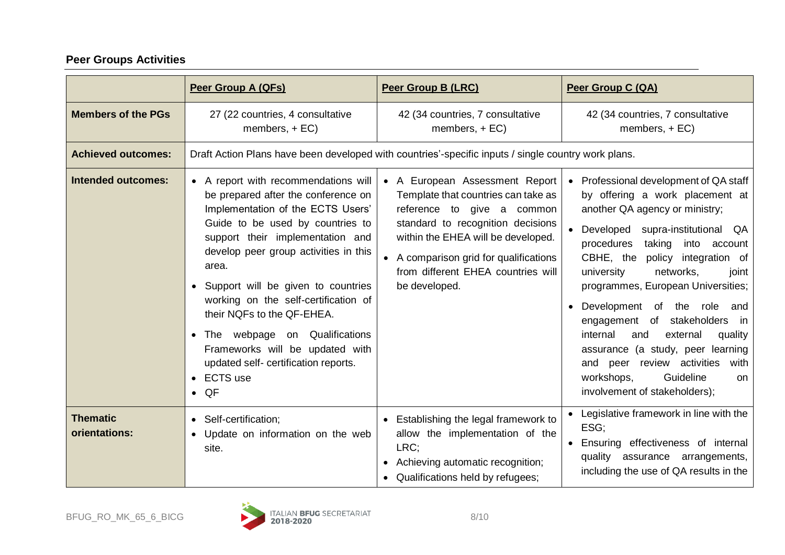# **Peer Groups Activities**

|                                  | Peer Group A (QFs)                                                                                                                                                                                                                                                                                                                                                                                                                                                                                         | <b>Peer Group B (LRC)</b>                                                                                                                                                                                                                                                       | Peer Group C (QA)                                                                                                                                                                                                                                                                                                                                                                                                                                                                                                                                                                      |
|----------------------------------|------------------------------------------------------------------------------------------------------------------------------------------------------------------------------------------------------------------------------------------------------------------------------------------------------------------------------------------------------------------------------------------------------------------------------------------------------------------------------------------------------------|---------------------------------------------------------------------------------------------------------------------------------------------------------------------------------------------------------------------------------------------------------------------------------|----------------------------------------------------------------------------------------------------------------------------------------------------------------------------------------------------------------------------------------------------------------------------------------------------------------------------------------------------------------------------------------------------------------------------------------------------------------------------------------------------------------------------------------------------------------------------------------|
| <b>Members of the PGs</b>        | 27 (22 countries, 4 consultative<br>members, $+ EC$ )                                                                                                                                                                                                                                                                                                                                                                                                                                                      | 42 (34 countries, 7 consultative<br>members, $+EC$ )                                                                                                                                                                                                                            | 42 (34 countries, 7 consultative<br>members, $+EC$ )                                                                                                                                                                                                                                                                                                                                                                                                                                                                                                                                   |
| <b>Achieved outcomes:</b>        | Draft Action Plans have been developed with countries'-specific inputs / single country work plans.                                                                                                                                                                                                                                                                                                                                                                                                        |                                                                                                                                                                                                                                                                                 |                                                                                                                                                                                                                                                                                                                                                                                                                                                                                                                                                                                        |
| <b>Intended outcomes:</b>        | • A report with recommendations will<br>be prepared after the conference on<br>Implementation of the ECTS Users'<br>Guide to be used by countries to<br>support their implementation and<br>develop peer group activities in this<br>area.<br>• Support will be given to countries<br>working on the self-certification of<br>their NQFs to the QF-EHEA.<br>webpage on Qualifications<br>The<br>Frameworks will be updated with<br>updated self- certification reports.<br><b>ECTS</b> use<br>$\bullet$ QF | • A European Assessment Report<br>Template that countries can take as<br>reference to give a common<br>standard to recognition decisions<br>within the EHEA will be developed.<br>• A comparison grid for qualifications<br>from different EHEA countries will<br>be developed. | Professional development of QA staff<br>by offering a work placement at<br>another QA agency or ministry;<br>Developed<br>supra-institutional QA<br>procedures<br>taking<br>into account<br>CBHE, the policy integration of<br>university<br>networks,<br>joint<br>programmes, European Universities;<br>Development of the role<br>and<br>$\bullet$<br>engagement of stakeholders<br>in<br>internal<br>external<br>and<br>quality<br>assurance (a study, peer learning<br>and peer review activities<br>with<br>Guideline<br>workshops,<br><b>on</b><br>involvement of stakeholders); |
| <b>Thematic</b><br>orientations: | • Self-certification;<br>• Update on information on the web<br>site.                                                                                                                                                                                                                                                                                                                                                                                                                                       | Establishing the legal framework to<br>$\bullet$<br>allow the implementation of the<br>LRC;<br>Achieving automatic recognition;<br>$\bullet$<br>Qualifications held by refugees;                                                                                                | Legislative framework in line with the<br>ESG;<br>Ensuring effectiveness of internal<br>quality<br>assurance arrangements,<br>including the use of QA results in the                                                                                                                                                                                                                                                                                                                                                                                                                   |

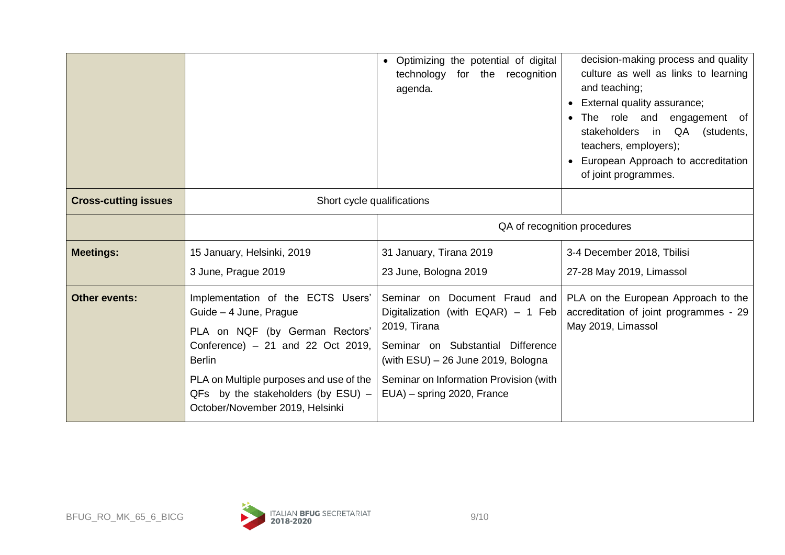|                             |                                                                                                                                                                                                                                                                               | Optimizing the potential of digital<br>$\bullet$<br>technology for the recognition<br>agenda.                                                                                                              | decision-making process and quality<br>culture as well as links to learning<br>and teaching;<br>External quality assurance;<br>$\bullet$<br>The role and engagement of<br>stakeholders in QA<br>(students,<br>teachers, employers);<br>European Approach to accreditation<br>of joint programmes. |  |
|-----------------------------|-------------------------------------------------------------------------------------------------------------------------------------------------------------------------------------------------------------------------------------------------------------------------------|------------------------------------------------------------------------------------------------------------------------------------------------------------------------------------------------------------|---------------------------------------------------------------------------------------------------------------------------------------------------------------------------------------------------------------------------------------------------------------------------------------------------|--|
| <b>Cross-cutting issues</b> | Short cycle qualifications                                                                                                                                                                                                                                                    |                                                                                                                                                                                                            |                                                                                                                                                                                                                                                                                                   |  |
|                             |                                                                                                                                                                                                                                                                               | QA of recognition procedures                                                                                                                                                                               |                                                                                                                                                                                                                                                                                                   |  |
| <b>Meetings:</b>            | 15 January, Helsinki, 2019                                                                                                                                                                                                                                                    | 31 January, Tirana 2019                                                                                                                                                                                    | 3-4 December 2018, Tbilisi                                                                                                                                                                                                                                                                        |  |
|                             | 3 June, Prague 2019                                                                                                                                                                                                                                                           | 23 June, Bologna 2019                                                                                                                                                                                      | 27-28 May 2019, Limassol                                                                                                                                                                                                                                                                          |  |
| <b>Other events:</b>        | Implementation of the ECTS Users'<br>Guide - 4 June, Prague<br>PLA on NQF (by German Rectors'<br>Conference) $-21$ and 22 Oct 2019,<br><b>Berlin</b><br>PLA on Multiple purposes and use of the<br>$QFs$ by the stakeholders (by $ESU$ ) -<br>October/November 2019, Helsinki | Digitalization (with EQAR) - 1 Feb<br>2019, Tirana<br>Seminar on Substantial Difference<br>(with $ESU$ ) $-$ 26 June 2019, Bologna<br>Seminar on Information Provision (with<br>EUA) - spring 2020, France | Seminar on Document Fraud and PLA on the European Approach to the<br>accreditation of joint programmes - 29<br>May 2019, Limassol                                                                                                                                                                 |  |